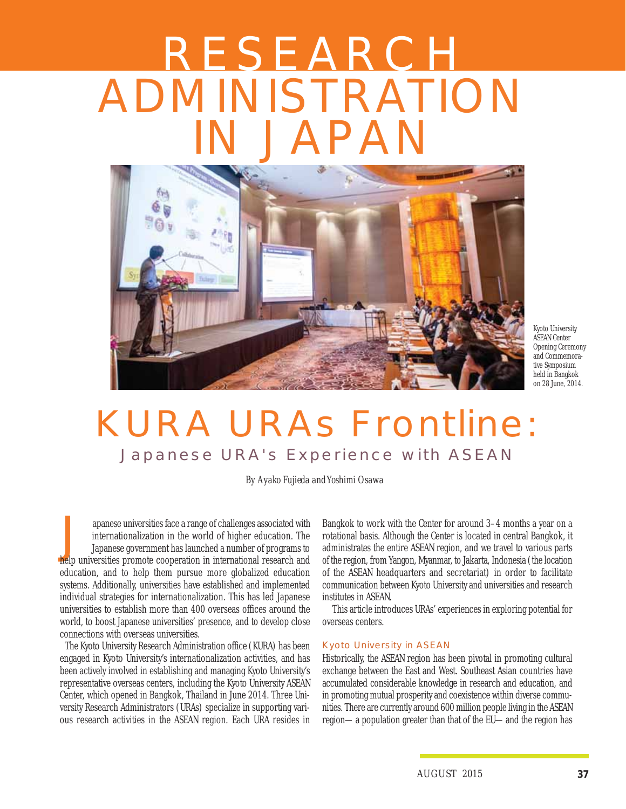# RESEARCH ADMINISTRATION IN JAPAN



Kyoto University ASEAN Center Opening Ceremony and Commemorative Symposium held in Bangkok on 28 June, 2014.

# KURA URAs Frontline: Japanese URA's Experience with ASEAN

*By Ayako Fujieda and Yoshimi Osawa*

apanese universities face a range of challenges associated with<br>internationalization in the world of higher education. The<br>Japanese government has launched a number of programs to<br>help universities promote cooperation in i internationalization in the world of higher education. The help universities promote cooperation in international research and education, and to help them pursue more globalized education systems. Additionally, universities have established and implemented individual strategies for internationalization. This has led Japanese universities to establish more than 400 overseas offices around the world, to boost Japanese universities' presence, and to develop close connections with overseas universities.

The Kyoto University Research Administration office (KURA) has been engaged in Kyoto University's internationalization activities, and has been actively involved in establishing and managing Kyoto University's representative overseas centers, including the Kyoto University ASEAN Center, which opened in Bangkok, Thailand in June 2014. Three University Research Administrators (URAs) specialize in supporting various research activities in the ASEAN region. Each URA resides in

Bangkok to work with the Center for around 3–4 months a year on a rotational basis. Although the Center is located in central Bangkok, it administrates the entire ASEAN region, and we travel to various parts of the region, from Yangon, Myanmar, to Jakarta, Indonesia (the location of the ASEAN headquarters and secretariat) in order to facilitate communication between Kyoto University and universities and research institutes in ASEAN.

This article introduces URAs' experiences in exploring potential for overseas centers.

#### Kyoto University in ASEAN

Historically, the ASEAN region has been pivotal in promoting cultural exchange between the East and West. Southeast Asian countries have accumulated considerable knowledge in research and education, and in promoting mutual prosperity and coexistence within diverse communities. There are currently around 600 million people living in the ASEAN region—a population greater than that of the EU—and the region has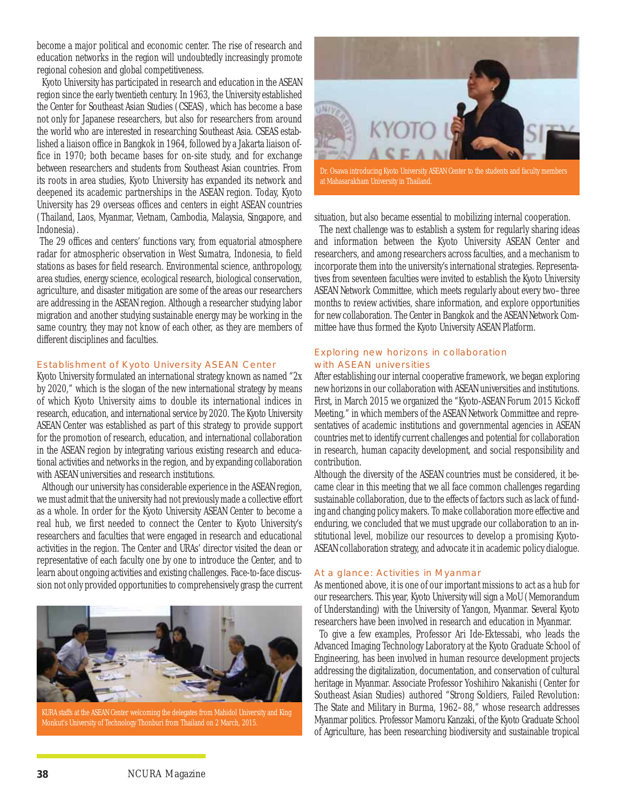become a major political and economic center. The rise of research and education networks in the region will undoubtedly increasingly promote regional cohesion and global competitiveness.

Kyoto University has participated in research and education in the ASEAN region since the early twentieth century. In 1963, the University established the Center for Southeast Asian Studies (CSEAS), which has become a base not only for Japanese researchers, but also for researchers from around the world who are interested in researching Southeast Asia. CSEAS established a liaison office in Bangkok in 1964, followed by a Jakarta liaison office in 1970; both became bases for on-site study, and for exchange between researchers and students from Southeast Asian countries. From its roots in area studies, Kyoto University has expanded its network and deepened its academic partnerships in the ASEAN region. Today, Kyoto University has 29 overseas offices and centers in eight ASEAN countries (Thailand, Laos, Myanmar, Vietnam, Cambodia, Malaysia, Singapore, and Indonesia).

The 29 offices and centers' functions vary, from equatorial atmosphere radar for atmospheric observation in West Sumatra, Indonesia, to field stations as bases for field research. Environmental science, anthropology, area studies, energy science, ecological research, biological conservation, agriculture, and disaster mitigation are some of the areas our researchers are addressing in the ASEAN region. Although a researcher studying labor migration and another studying sustainable energy may be working in the same country, they may not know of each other, as they are members of different disciplines and faculties.

#### Establishment of Kyoto University ASEAN Center

Kyoto University formulated an international strategy known as named "2x by 2020," which is the slogan of the new international strategy by means of which Kyoto University aims to double its international indices in research, education, and international service by 2020. The Kyoto University ASEAN Center was established as part of this strategy to provide support for the promotion of research, education, and international collaboration in the ASEAN region by integrating various existing research and educational activities and networks in the region, and by expanding collaboration with ASEAN universities and research institutions.

Although our university has considerable experience in the ASEAN region, we must admit that the university had not previously made a collective effort as a whole. In order for the Kyoto University ASEAN Center to become a real hub, we first needed to connect the Center to Kyoto University's researchers and faculties that were engaged in research and educational activities in the region. The Center and URAs' director visited the dean or representative of each faculty one by one to introduce the Center, and to learn about ongoing activities and existing challenges. Face-to-face discussion not only provided opportunities to comprehensively grasp the current



KURA staffs at the ASEAN Center welcoming the delegates from Mahidol University and King Monkut's University of Technology Thonburi from Thailand on 2 March, 2015.



Dr. Osawa introducing Kyoto University ASEAN Center to the students and faculty members at Mahasarakham University in Thailand.

situation, but also became essential to mobilizing internal cooperation.

The next challenge was to establish a system for regularly sharing ideas and information between the Kyoto University ASEAN Center and researchers, and among researchers across faculties, and a mechanism to incorporate them into the university's international strategies. Representatives from seventeen faculties were invited to establish the Kyoto University ASEAN Network Committee, which meets regularly about every two–three months to review activities, share information, and explore opportunities for new collaboration. The Center in Bangkok and the ASEAN Network Committee have thus formed the Kyoto University ASEAN Platform.

#### Exploring new horizons in collaboration with ASEAN universities

After establishing our internal cooperative framework, we began exploring new horizons in our collaboration with ASEAN universities and institutions. First, in March 2015 we organized the "Kyoto-ASEAN Forum 2015 Kickoff Meeting," in which members of the ASEAN Network Committee and representatives of academic institutions and governmental agencies in ASEAN countries met to identify current challenges and potential for collaboration in research, human capacity development, and social responsibility and contribution.

Although the diversity of the ASEAN countries must be considered, it became clear in this meeting that we all face common challenges regarding sustainable collaboration, due to the effects of factors such as lack of funding and changing policy makers. To make collaboration more effective and enduring, we concluded that we must upgrade our collaboration to an institutional level, mobilize our resources to develop a promising Kyoto-ASEAN collaboration strategy, and advocate it in academic policy dialogue.

#### At a glance: Activities in Myanmar

As mentioned above, it is one of our important missions to act as a hub for our researchers. This year, Kyoto University will sign a MoU (Memorandum of Understanding) with the University of Yangon, Myanmar. Several Kyoto researchers have been involved in research and education in Myanmar.

To give a few examples, Professor Ari Ide-Ektessabi, who leads the Advanced Imaging Technology Laboratory at the Kyoto Graduate School of Engineering, has been involved in human resource development projects addressing the digitalization, documentation, and conservation of cultural heritage in Myanmar. Associate Professor Yoshihiro Nakanishi (Center for Southeast Asian Studies) authored "Strong Soldiers, Failed Revolution: The State and Military in Burma, 1962–88," whose research addresses Myanmar politics. Professor Mamoru Kanzaki, of the Kyoto Graduate School of Agriculture, has been researching biodiversity and sustainable tropical